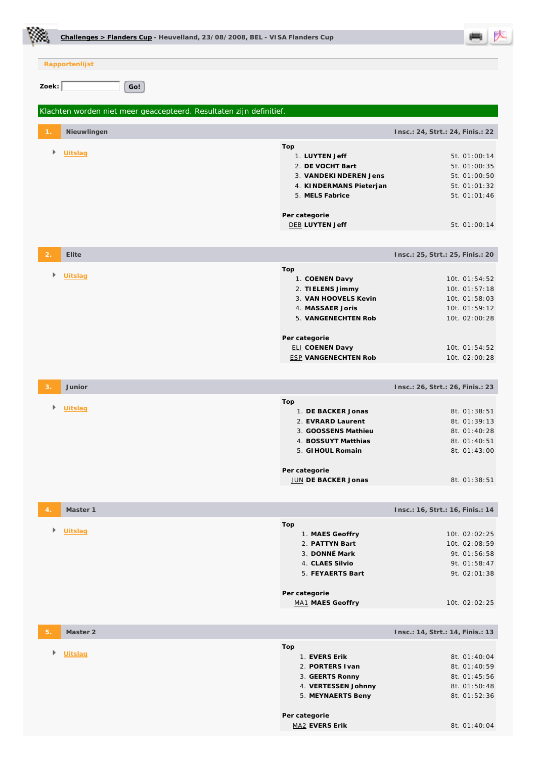|               | Challenges > Flanders Cup - Heuvelland, 23/08/2008, BEL - VISA Flanders Cup |                                                                                                                                                                                        |                                                                                                                                                         |
|---------------|-----------------------------------------------------------------------------|----------------------------------------------------------------------------------------------------------------------------------------------------------------------------------------|---------------------------------------------------------------------------------------------------------------------------------------------------------|
|               | Rapportenlijst                                                              |                                                                                                                                                                                        |                                                                                                                                                         |
| Zoek: $\vert$ | Go!                                                                         |                                                                                                                                                                                        |                                                                                                                                                         |
|               | Klachten worden niet meer geaccepteerd. Resultaten zijn definitief.         |                                                                                                                                                                                        |                                                                                                                                                         |
|               | Nieuwlingen                                                                 |                                                                                                                                                                                        | Insc.: 24, Strt.: 24, Finis.: 22                                                                                                                        |
| Þ             | Uitslag                                                                     | Top<br>1. LUYTEN Jeff<br>2. DE VOCHT Bart<br>3. VANDEKINDEREN Jens<br>4. KINDERMANS Pieterjan<br>5. MELS Fabrice<br>Per categorie<br><b>DEB LUYTEN Jeff</b>                            | 5t. 01:00:14<br>5t. 01:00:35<br>5t. 01:00:50<br>5t. 01:01:32<br>5t. 01:01:46<br>5t. 01:00:14                                                            |
|               |                                                                             |                                                                                                                                                                                        |                                                                                                                                                         |
| 2.<br>Þ       | Elite<br><b>Uitslag</b>                                                     | Top<br>1. COENEN Davy<br>2. TIELENS Jimmy<br>3. VAN HOOVELS Kevin<br>4. MASSAER Joris<br>5. VANGENECHTEN Rob<br>Per categorie<br><b>ELI COENEN Davy</b><br><b>ESP VANGENECHTEN Rob</b> | Insc.: 25, Strt.: 25, Finis.: 20<br>10t. 01:54:52<br>10t. 01:57:18<br>10t. 01:58:03<br>10t. 01:59:12<br>10t. 02:00:28<br>10t. 01:54:52<br>10t. 02:00:28 |
| З.            | Junior                                                                      |                                                                                                                                                                                        | Insc.: 26, Strt.: 26, Finis.: 23                                                                                                                        |
| r             | Uitslag                                                                     | Top<br>1. DE BACKER Jonas<br>2. EVRARD Laurent<br>3. GOOSSENS Mathieu<br>4. BOSSUYT Matthias<br>5. GI HOUL Romain                                                                      | 8t. 01:38:51<br>8t. 01:39:13<br>8t. 01:40:28<br>8t. 01:40:51<br>8t. 01:43:00                                                                            |
|               |                                                                             | Per categorie<br>JUN DE BACKER Jonas                                                                                                                                                   | 8t. 01:38:51                                                                                                                                            |
|               |                                                                             |                                                                                                                                                                                        |                                                                                                                                                         |
| Þ             | Master 1<br>Uitslag                                                         | Top<br>1. MAES Geoffry<br>2. PATTYN Bart<br>3. DONNÉ Mark<br>4. CLAES Silvio<br>5. FEYAERTS Bart                                                                                       | Insc.: 16, Strt.: 16, Finis.: 14<br>10t. 02:02:25<br>10t. 02:08:59<br>9t. 01:56:58<br>9t. 01:58:47<br>9t. 02:01:38                                      |
|               |                                                                             | Per categorie<br>MA1 MAES Geoffry                                                                                                                                                      | 10t. 02:02:25                                                                                                                                           |
| 5.            | Master 2                                                                    |                                                                                                                                                                                        | Insc.: 14, Strt.: 14, Finis.: 13                                                                                                                        |
| Þ             | <b>Uitslag</b>                                                              | Top<br>1. EVERS Erik<br>2. PORTERS I van<br>3. GEERTS Ronny<br>4. VERTESSEN Johnny<br>5. MEYNAERTS Beny<br>Per categorie                                                               | 8t. 01:40:04<br>8t. 01:40:59<br>8t. 01:45:56<br>8t. 01:50:48<br>8t. 01:52:36                                                                            |

MA2 **EVERS Erik** 8t. 01:40:04